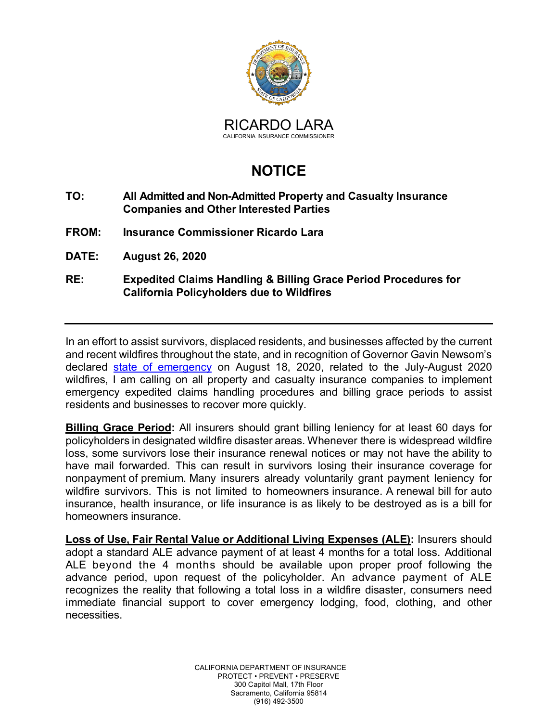

## **NOTICE**

## **TO: All Admitted and Non-Admitted Property and Casualty Insurance Companies and Other Interested Parties**

- **FROM: Insurance Commissioner Ricardo Lara**
- **DATE: August 26, 2020**

## **RE: Expedited Claims Handling & Billing Grace Period Procedures for California Policyholders due to Wildfires**

In an effort to assist survivors, displaced residents, and businesses affected by the current and recent wildfires throughout the state, and in recognition of Governor Gavin Newsom's declared [state of emergency](https://www.gov.ca.gov/wp-content/uploads/2020/08/8.18.20-Fire-State-of-Emergency-Proclamation.pdf) on August 18, 2020, related to the July-August 2020 wildfires, I am calling on all property and casualty insurance companies to implement emergency expedited claims handling procedures and billing grace periods to assist residents and businesses to recover more quickly.

**Billing Grace Period:** All insurers should grant billing leniency for at least 60 days for policyholders in designated wildfire disaster areas. Whenever there is widespread wildfire loss, some survivors lose their insurance renewal notices or may not have the ability to have mail forwarded. This can result in survivors losing their insurance coverage for nonpayment of premium. Many insurers already voluntarily grant payment leniency for wildfire survivors. This is not limited to homeowners insurance. A renewal bill for auto insurance, health insurance, or life insurance is as likely to be destroyed as is a bill for homeowners insurance.

**Loss of Use, Fair Rental Value or Additional Living Expenses (ALE):** Insurers should adopt a standard ALE advance payment of at least 4 months for a total loss. Additional ALE beyond the 4 months should be available upon proper proof following the advance period, upon request of the policyholder. An advance payment of ALE recognizes the reality that following a total loss in a wildfire disaster, consumers need immediate financial support to cover emergency lodging, food, clothing, and other necessities.